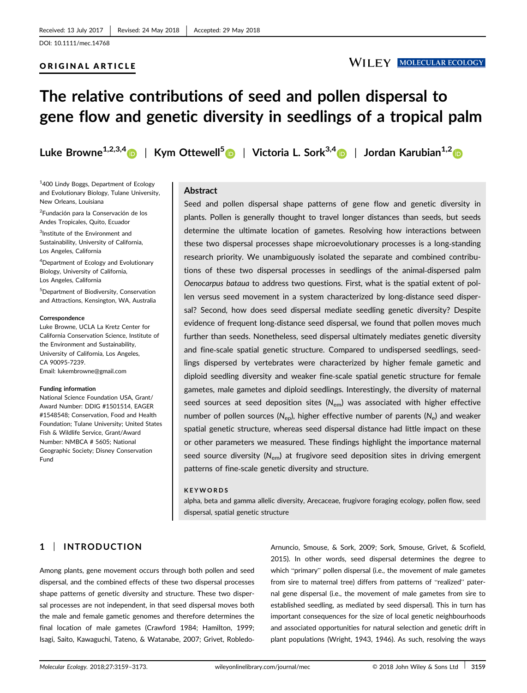## ORIGINAL ARTICLE

# **WILEY MOLECULAR ECOLOGY**

# **The relative contributions of seed and pollen dispersal to gene flow and genetic diversity in seedlings of a tropical palm**

**Luke Browne1,2,3,4** | **Kym Ottewell<sup>5</sup>** | **Victoria L. Sork3,4** | **Jordan Karubian1,2**

1 400 Lindy Boggs, Department of Ecology and Evolutionary Biology, Tulane University, New Orleans, Louisiana

2 Fundación para la Conservación de los Andes Tropicales, Quito, Ecuador

<sup>3</sup>Institute of the Environment and Sustainability, University of California, Los Angeles, California

4 Department of Ecology and Evolutionary Biology, University of California, Los Angeles, California

5 Department of Biodiversity, Conservation and Attractions, Kensington, WA, Australia

#### **Correspondence**

Luke Browne, UCLA La Kretz Center for California Conservation Science, Institute of the Environment and Sustainability, University of California, Los Angeles, CA 90095-7239. Email: lukembrowne@gmail.com

#### **Funding information**

National Science Foundation USA, Grant/ Award Number: DDIG #1501514, EAGER #1548548; Conservation, Food and Health Foundation; Tulane University; United States Fish & Wildlife Service, Grant/Award Number: NMBCA # 5605; National Geographic Society; Disney Conservation Fund

# **Abstract**

Seed and pollen dispersal shape patterns of gene flow and genetic diversity in plants. Pollen is generally thought to travel longer distances than seeds, but seeds determine the ultimate location of gametes. Resolving how interactions between these two dispersal processes shape microevolutionary processes is a long‐standing research priority. We unambiguously isolated the separate and combined contributions of these two dispersal processes in seedlings of the animal‐dispersed palm *Oenocarpus bataua* to address two questions. First, what is the spatial extent of pollen versus seed movement in a system characterized by long‐distance seed dispersal? Second, how does seed dispersal mediate seedling genetic diversity? Despite evidence of frequent long‐distance seed dispersal, we found that pollen moves much further than seeds. Nonetheless, seed dispersal ultimately mediates genetic diversity and fine‐scale spatial genetic structure. Compared to undispersed seedlings, seedlings dispersed by vertebrates were characterized by higher female gametic and diploid seedling diversity and weaker fine‐scale spatial genetic structure for female gametes, male gametes and diploid seedlings. Interestingly, the diversity of maternal seed sources at seed deposition sites (*N*em) was associated with higher effective number of pollen sources (*N*ep), higher effective number of parents (*N*e) and weaker spatial genetic structure, whereas seed dispersal distance had little impact on these or other parameters we measured. These findings highlight the importance maternal seed source diversity (*N*em) at frugivore seed deposition sites in driving emergent patterns of fine‐scale genetic diversity and structure.

#### **KEYWORDS**

alpha, beta and gamma allelic diversity, Arecaceae, frugivore foraging ecology, pollen flow, seed dispersal, spatial genetic structure

# **1** | **INTRODUCTION**

Among plants, gene movement occurs through both pollen and seed dispersal, and the combined effects of these two dispersal processes shape patterns of genetic diversity and structure. These two dispersal processes are not independent, in that seed dispersal moves both the male and female gametic genomes and therefore determines the final location of male gametes (Crawford 1984; Hamilton, 1999; Isagi, Saito, Kawaguchi, Tateno, & Watanabe, 2007; Grivet, Robledo‐

Arnuncio, Smouse, & Sork, 2009; Sork, Smouse, Grivet, & Scofield, 2015). In other words, seed dispersal determines the degree to which "primary" pollen dispersal (i.e., the movement of male gametes from sire to maternal tree) differs from patterns of "realized" paternal gene dispersal (i.e., the movement of male gametes from sire to established seedling, as mediated by seed dispersal). This in turn has important consequences for the size of local genetic neighbourhoods and associated opportunities for natural selection and genetic drift in plant populations (Wright, 1943, 1946). As such, resolving the ways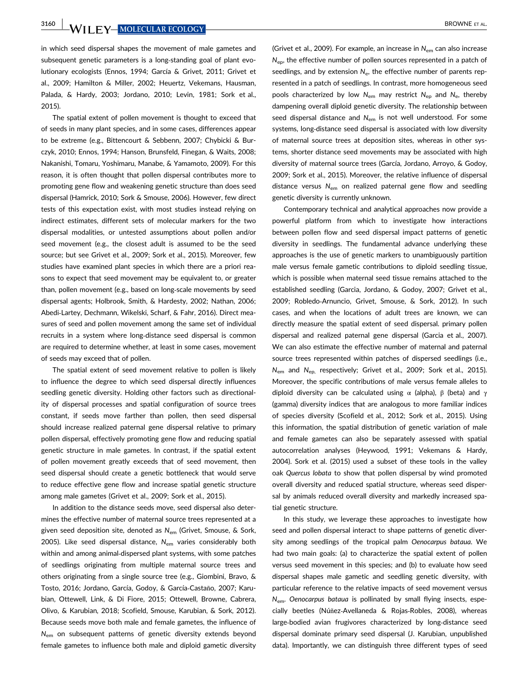**3160 WILEY-MOLECULAR ECOLOGY** BROWNE ET AL.

in which seed dispersal shapes the movement of male gametes and subsequent genetic parameters is a long‐standing goal of plant evolutionary ecologists (Ennos, 1994; García & Grivet, 2011; Grivet et al., 2009; Hamilton & Miller, 2002; Heuertz, Vekemans, Hausman, Palada, & Hardy, 2003; Jordano, 2010; Levin, 1981; Sork et al., 2015).

The spatial extent of pollen movement is thought to exceed that of seeds in many plant species, and in some cases, differences appear to be extreme (e.g., Bittencourt & Sebbenn, 2007; Chybicki & Burczyk, 2010; Ennos, 1994; Hanson, Brunsfeld, Finegan, & Waits, 2008; Nakanishi, Tomaru, Yoshimaru, Manabe, & Yamamoto, 2009). For this reason, it is often thought that pollen dispersal contributes more to promoting gene flow and weakening genetic structure than does seed dispersal (Hamrick, 2010; Sork & Smouse, 2006). However, few direct tests of this expectation exist, with most studies instead relying on indirect estimates, different sets of molecular markers for the two dispersal modalities, or untested assumptions about pollen and/or seed movement (e.g., the closest adult is assumed to be the seed source; but see Grivet et al., 2009; Sork et al., 2015). Moreover, few studies have examined plant species in which there are a priori reasons to expect that seed movement may be equivalent to, or greater than, pollen movement (e.g., based on long‐scale movements by seed dispersal agents; Holbrook, Smith, & Hardesty, 2002; Nathan, 2006; Abedi‐Lartey, Dechmann, Wikelski, Scharf, & Fahr, 2016). Direct measures of seed and pollen movement among the same set of individual recruits in a system where long‐distance seed dispersal is common are required to determine whether, at least in some cases, movement of seeds may exceed that of pollen.

The spatial extent of seed movement relative to pollen is likely to influence the degree to which seed dispersal directly influences seedling genetic diversity. Holding other factors such as directionality of dispersal processes and spatial configuration of source trees constant, if seeds move farther than pollen, then seed dispersal should increase realized paternal gene dispersal relative to primary pollen dispersal, effectively promoting gene flow and reducing spatial genetic structure in male gametes. In contrast, if the spatial extent of pollen movement greatly exceeds that of seed movement, then seed dispersal should create a genetic bottleneck that would serve to reduce effective gene flow and increase spatial genetic structure among male gametes (Grivet et al., 2009; Sork et al., 2015).

In addition to the distance seeds move, seed dispersal also determines the effective number of maternal source trees represented at a given seed deposition site, denoted as *N*em (Grivet, Smouse, & Sork, 2005). Like seed dispersal distance, *N*em varies considerably both within and among animal-dispersed plant systems, with some patches of seedlings originating from multiple maternal source trees and others originating from a single source tree (e.g., Giombini, Bravo, & Tosto, 2016; Jordano, García, Godoy, & García‐Castaño, 2007; Karubian, Ottewell, Link, & Di Fiore, 2015; Ottewell, Browne, Cabrera, Olivo, & Karubian, 2018; Scofield, Smouse, Karubian, & Sork, 2012). Because seeds move both male and female gametes, the influence of *N*em on subsequent patterns of genetic diversity extends beyond female gametes to influence both male and diploid gametic diversity (Grivet et al., 2009). For example, an increase in *N*em can also increase  $N_{\text{en}}$ , the effective number of pollen sources represented in a patch of seedlings, and by extension  $N_e$ , the effective number of parents represented in a patch of seedlings. In contrast, more homogeneous seed pools characterized by low *N*em may restrict *N*ep and *N*e, thereby dampening overall diploid genetic diversity. The relationship between seed dispersal distance and *N*em is not well understood. For some systems, long‐distance seed dispersal is associated with low diversity of maternal source trees at deposition sites, whereas in other systems, shorter distance seed movements may be associated with high diversity of maternal source trees (García, Jordano, Arroyo, & Godoy, 2009; Sork et al., 2015). Moreover, the relative influence of dispersal distance versus *N*em on realized paternal gene flow and seedling genetic diversity is currently unknown.

Contemporary technical and analytical approaches now provide a powerful platform from which to investigate how interactions between pollen flow and seed dispersal impact patterns of genetic diversity in seedlings. The fundamental advance underlying these approaches is the use of genetic markers to unambiguously partition male versus female gametic contributions to diploid seedling tissue, which is possible when maternal seed tissue remains attached to the established seedling (Garcia, Jordano, & Godoy, 2007; Grivet et al., 2009; Robledo‐Arnuncio, Grivet, Smouse, & Sork, 2012). In such cases, and when the locations of adult trees are known, we can directly measure the spatial extent of seed dispersal. primary pollen dispersal and realized paternal gene dispersal (Garcia et al., 2007). We can also estimate the effective number of maternal and paternal source trees represented within patches of dispersed seedlings (i.e., *N*em and *N*ep, respectively; Grivet et al., 2009; Sork et al., 2015). Moreover, the specific contributions of male versus female alleles to diploid diversity can be calculated using  $\alpha$  (alpha),  $\beta$  (beta) and γ (gamma) diversity indices that are analogous to more familiar indices of species diversity (Scofield et al., 2012; Sork et al., 2015). Using this information, the spatial distribution of genetic variation of male and female gametes can also be separately assessed with spatial autocorrelation analyses (Heywood, 1991; Vekemans & Hardy, 2004). Sork et al. (2015) used a subset of these tools in the valley oak *Quercus lobata* to show that pollen dispersal by wind promoted overall diversity and reduced spatial structure, whereas seed dispersal by animals reduced overall diversity and markedly increased spatial genetic structure.

In this study, we leverage these approaches to investigate how seed and pollen dispersal interact to shape patterns of genetic diversity among seedlings of the tropical palm *Oenocarpus bataua*. We had two main goals: (a) to characterize the spatial extent of pollen versus seed movement in this species; and (b) to evaluate how seed dispersal shapes male gametic and seedling genetic diversity, with particular reference to the relative impacts of seed movement versus *N*em. *Oenocarpus bataua* is pollinated by small flying insects, especially beetles (Núñez‐Avellaneda & Rojas‐Robles, 2008), whereas large‐bodied avian frugivores characterized by long‐distance seed dispersal dominate primary seed dispersal (J. Karubian, unpublished data). Importantly, we can distinguish three different types of seed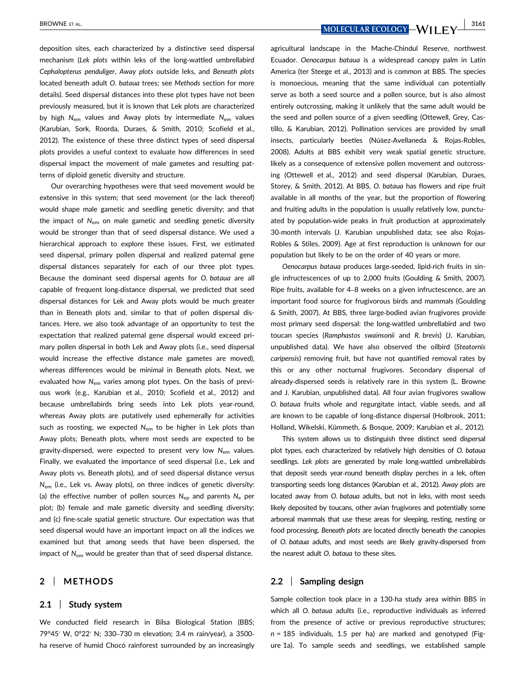BROWNE ET AL. **ALL COLORS AND THE UPPER COLORS AND THE UPPER COLORS AND LEGAL COLORY AND LEVEL 3161** 

deposition sites, each characterized by a distinctive seed dispersal mechanism (*Lek plots* within leks of the long‐wattled umbrellabird *Cephalopterus penduliger*, *Away plots* outside leks, and *Beneath plots* located beneath adult *O. bataua* trees; see *Methods* section for more details). Seed dispersal distances into these plot types have not been previously measured, but it is known that Lek plots are characterized by high *N*em values and Away plots by intermediate *N*em values (Karubian, Sork, Roorda, Duraes, & Smith, 2010; Scofield et al., 2012). The existence of these three distinct types of seed dispersal plots provides a useful context to evaluate how differences in seed dispersal impact the movement of male gametes and resulting patterns of diploid genetic diversity and structure.

Our overarching hypotheses were that seed movement would be extensive in this system; that seed movement (or the lack thereof) would shape male gametic and seedling genetic diversity; and that the impact of *N*em on male gametic and seedling genetic diversity would be stronger than that of seed dispersal distance. We used a hierarchical approach to explore these issues. First, we estimated seed dispersal, primary pollen dispersal and realized paternal gene dispersal distances separately for each of our three plot types. Because the dominant seed dispersal agents for *O. bataua* are all capable of frequent long‐distance dispersal, we predicted that seed dispersal distances for Lek and Away plots would be much greater than in Beneath plots and, similar to that of pollen dispersal distances. Here, we also took advantage of an opportunity to test the expectation that realized paternal gene dispersal would exceed primary pollen dispersal in both Lek and Away plots (i.e., seed dispersal would increase the effective distance male gametes are moved), whereas differences would be minimal in Beneath plots. Next, we evaluated how N<sub>em</sub> varies among plot types. On the basis of previous work (e.g., Karubian et al., 2010; Scofield et al., 2012) and because umbrellabirds bring seeds into Lek plots year-round, whereas Away plots are putatively used ephemerally for activities such as roosting, we expected N<sub>em</sub> to be higher in Lek plots than Away plots; Beneath plots, where most seeds are expected to be gravity-dispersed, were expected to present very low N<sub>em</sub> values. Finally, we evaluated the importance of seed dispersal (i.e., Lek and Away plots vs. Beneath plots), and of seed dispersal distance versus  $N_{\text{em}}$  (i.e., Lek vs. Away plots), on three indices of genetic diversity: (a) the effective number of pollen sources *N*ep and parents *N*<sup>e</sup> per plot; (b) female and male gametic diversity and seedling diversity; and (c) fine‐scale spatial genetic structure. Our expectation was that seed dispersal would have an important impact on all the indices we examined but that among seeds that have been dispersed, the impact of *N*em would be greater than that of seed dispersal distance.

# **2** | **METHODS**

#### **2.1** | **Study system**

We conducted field research in Bilsa Biological Station (BBS; 79°45′ W, 0°22′ N; 330–730 m elevation; 3.4 m rain/year), a 3500‐ ha reserve of humid Chocó rainforest surrounded by an increasingly

agricultural landscape in the Mache‐Chindul Reserve, northwest Ecuador. *Oenocarpus bataua* is a widespread canopy palm in Latin America (ter Steege et al., 2013) and is common at BBS. The species is monoecious, meaning that the same individual can potentially serve as both a seed source and a pollen source, but is also almost entirely outcrossing, making it unlikely that the same adult would be the seed and pollen source of a given seedling (Ottewell, Grey, Castillo, & Karubian, 2012). Pollination services are provided by small insects, particularly beetles (Núñez‐Avellaneda & Rojas‐Robles, 2008). Adults at BBS exhibit very weak spatial genetic structure, likely as a consequence of extensive pollen movement and outcrossing (Ottewell et al., 2012) and seed dispersal (Karubian, Duraes, Storey, & Smith, 2012). At BBS, *O. bataua* has flowers and ripe fruit available in all months of the year, but the proportion of flowering and fruiting adults in the population is usually relatively low, punctuated by population-wide peaks in fruit production at approximately 30-month intervals (J. Karubian unpublished data; see also Rojas-Robles & Stiles, 2009). Age at first reproduction is unknown for our population but likely to be on the order of 40 years or more.

*Oenocarpus bataua* produces large‐seeded, lipid‐rich fruits in single infructescences of up to 2,000 fruits (Goulding & Smith, 2007). Ripe fruits, available for 4–8 weeks on a given infructescence, are an important food source for frugivorous birds and mammals (Goulding & Smith, 2007). At BBS, three large‐bodied avian frugivores provide most primary seed dispersal: the long‐wattled umbrellabird and two toucan species (*Ramphastos swainsonii* and *R. brevis*) (J. Karubian, unpublished data). We have also observed the oilbird (*Steatornis caripensis*) removing fruit, but have not quantified removal rates by this or any other nocturnal frugivores. Secondary dispersal of already‐dispersed seeds is relatively rare in this system (L. Browne and J. Karubian, unpublished data). All four avian frugivores swallow *O. bataua* fruits whole and regurgitate intact, viable seeds, and all are known to be capable of long‐distance dispersal (Holbrook, 2011; Holland, Wikelski, Kümmeth, & Bosque, 2009; Karubian et al., 2012).

This system allows us to distinguish three distinct seed dispersal plot types, each characterized by relatively high densities of *O. bataua* seedlings. Lek plots are generated by male long-wattled umbrellabirds that deposit seeds year‐round beneath display perches in a lek, often transporting seeds long distances (Karubian et al., 2012). *Away plots* are located away from *O. bataua* adults, but not in leks, with most seeds likely deposited by toucans, other avian frugivores and potentially some arboreal mammals that use these areas for sleeping, resting, nesting or food processing. *Beneath plots* are located directly beneath the canopies of *O. bataua* adults, and most seeds are likely gravity‐dispersed from the nearest adult *O. bataua* to these sites.

# **2.2** | **Sampling design**

Sample collection took place in a 130‐ha study area within BBS in which all *O. bataua* adults (i.e., reproductive individuals as inferred from the presence of active or previous reproductive structures; *n* = 185 individuals, 1.5 per ha) are marked and genotyped (Figure 1a). To sample seeds and seedlings, we established sample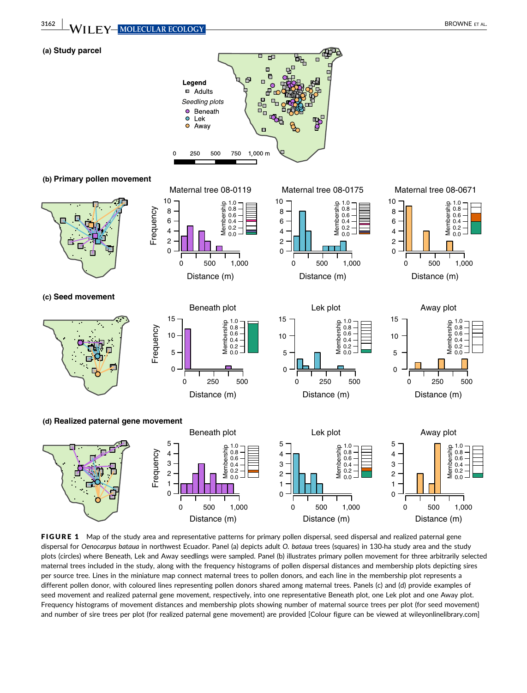

FIGURE 1 Map of the study area and representative patterns for primary pollen dispersal, seed dispersal and realized paternal gene dispersal for *Oenocarpus bataua* in northwest Ecuador. Panel (a) depicts adult *O. bataua* trees (squares) in 130‐ha study area and the study plots (circles) where Beneath, Lek and Away seedlings were sampled. Panel (b) illustrates primary pollen movement for three arbitrarily selected maternal trees included in the study, along with the frequency histograms of pollen dispersal distances and membership plots depicting sires per source tree. Lines in the miniature map connect maternal trees to pollen donors, and each line in the membership plot represents a different pollen donor, with coloured lines representing pollen donors shared among maternal trees. Panels (c) and (d) provide examples of seed movement and realized paternal gene movement, respectively, into one representative Beneath plot, one Lek plot and one Away plot. Frequency histograms of movement distances and membership plots showing number of maternal source trees per plot (for seed movement) and number of sire trees per plot (for realized paternal gene movement) are provided [Colour figure can be viewed at wileyonlinelibrary.com]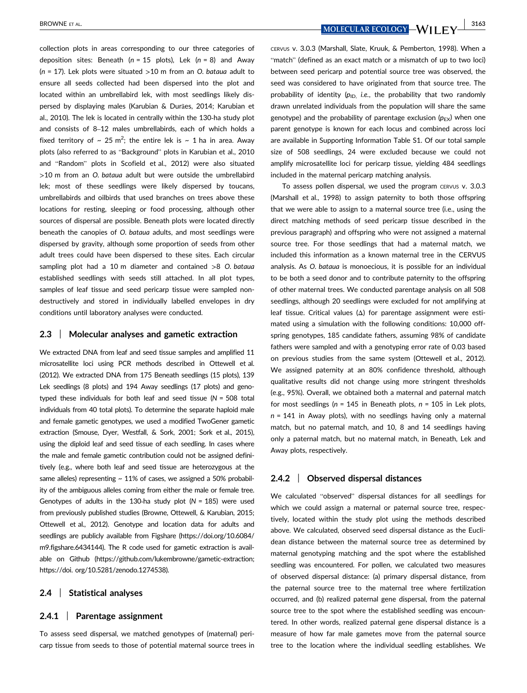collection plots in areas corresponding to our three categories of deposition sites: Beneath (*n* = 15 plots), Lek (*n* = 8) and Away (*n* = 17). Lek plots were situated >10 m from an *O. bataua* adult to ensure all seeds collected had been dispersed into the plot and located within an umbrellabird lek, with most seedlings likely dispersed by displaying males (Karubian & Durães, 2014; Karubian et al., 2010). The lek is located in centrally within the 130‐ha study plot and consists of 8–12 males umbrellabirds, each of which holds a fixed territory of  $\sim 25$  m<sup>2</sup>; the entire lek is  $\sim 1$  ha in area. Away plots (also referred to as "Background" plots in Karubian et al., 2010 and "Random" plots in Scofield et al., 2012) were also situated >10 m from an *O. bataua* adult but were outside the umbrellabird lek; most of these seedlings were likely dispersed by toucans, umbrellabirds and oilbirds that used branches on trees above these locations for resting, sleeping or food processing, although other sources of dispersal are possible. Beneath plots were located directly beneath the canopies of *O. bataua* adults, and most seedlings were dispersed by gravity, although some proportion of seeds from other adult trees could have been dispersed to these sites. Each circular sampling plot had a 10 m diameter and contained >8 *O. bataua* established seedlings with seeds still attached. In all plot types, samples of leaf tissue and seed pericarp tissue were sampled nondestructively and stored in individually labelled envelopes in dry conditions until laboratory analyses were conducted.

#### **2.3** | **Molecular analyses and gametic extraction**

We extracted DNA from leaf and seed tissue samples and amplified 11 microsatellite loci using PCR methods described in Ottewell et al. (2012). We extracted DNA from 175 Beneath seedlings (15 plots), 139 Lek seedlings (8 plots) and 194 Away seedlings (17 plots) and genotyped these individuals for both leaf and seed tissue (*N* = 508 total individuals from 40 total plots). To determine the separate haploid male and female gametic genotypes, we used a modified TwoGener gametic extraction (Smouse, Dyer, Westfall, & Sork, 2001; Sork et al., 2015), using the diploid leaf and seed tissue of each seedling. In cases where the male and female gametic contribution could not be assigned definitively (e.g., where both leaf and seed tissue are heterozygous at the same alleles) representing  $\sim$  11% of cases, we assigned a 50% probability of the ambiguous alleles coming from either the male or female tree. Genotypes of adults in the 130‐ha study plot (*N* = 185) were used from previously published studies (Browne, Ottewell, & Karubian, 2015; Ottewell et al., 2012). Genotype and location data for adults and seedlings are publicly available from Figshare [\(https://doi.org/10.6084/](https://doi.org/10.6084/m9.figshare.6434144) [m9.figshare.6434144\)](https://doi.org/10.6084/m9.figshare.6434144). The R code used for gametic extraction is available on Github [\(https://github.com/lukembrowne/gametic-extraction;](https://github.com/lukembrowne/gametic-extraction) [https://doi. org/10.5281/zenodo.1274538\)](https://doi. org/10.5281/zenodo.1274538).

# **2.4** | **Statistical analyses**

#### **2.4.1** | **Parentage assignment**

To assess seed dispersal, we matched genotypes of (maternal) pericarp tissue from seeds to those of potential maternal source trees in

BROWNE ET AL. **ALL COLORS AND THE UPPER STATES AND ACCELLARE COLOGY -WILL FV** 3163

CERVUS v. 3.0.3 (Marshall, Slate, Kruuk, & Pemberton, 1998). When a "match" (defined as an exact match or a mismatch of up to two loci) between seed pericarp and potential source tree was observed, the seed was considered to have originated from that source tree. The probability of identity  $(p_{\text{ID}})$  *i.e.*, the probability that two randomly drawn unrelated individuals from the population will share the same genotype) and the probability of parentage exclusion  $(p_{FX})$  when one parent genotype is known for each locus and combined across loci are available in Supporting Information Table S1. Of our total sample size of 508 seedlings, 24 were excluded because we could not amplify microsatellite loci for pericarp tissue, yielding 484 seedlings included in the maternal pericarp matching analysis.

To assess pollen dispersal, we used the program CERVUS v. 3.0.3 (Marshall et al., 1998) to assign paternity to both those offspring that we were able to assign to a maternal source tree (i.e., using the direct matching methods of seed pericarp tissue described in the previous paragraph) and offspring who were not assigned a maternal source tree. For those seedlings that had a maternal match, we included this information as a known maternal tree in the CERVUS analysis. As *O. bataua* is monoecious, it is possible for an individual to be both a seed donor and to contribute paternity to the offspring of other maternal trees. We conducted parentage analysis on all 508 seedlings, although 20 seedlings were excluded for not amplifying at leaf tissue. Critical values (Δ) for parentage assignment were estimated using a simulation with the following conditions: 10,000 offspring genotypes, 185 candidate fathers, assuming 98% of candidate fathers were sampled and with a genotyping error rate of 0.03 based on previous studies from the same system (Ottewell et al., 2012). We assigned paternity at an 80% confidence threshold, although qualitative results did not change using more stringent thresholds (e.g., 95%). Overall, we obtained both a maternal and paternal match for most seedlings (*n* = 145 in Beneath plots, *n* = 105 in Lek plots, *n* = 141 in Away plots), with no seedlings having only a maternal match, but no paternal match, and 10, 8 and 14 seedlings having only a paternal match, but no maternal match, in Beneath, Lek and Away plots, respectively.

## **2.4.2** | **Observed dispersal distances**

We calculated "observed" dispersal distances for all seedlings for which we could assign a maternal or paternal source tree, respectively, located within the study plot using the methods described above. We calculated, observed seed dispersal distance as the Euclidean distance between the maternal source tree as determined by maternal genotyping matching and the spot where the established seedling was encountered. For pollen, we calculated two measures of observed dispersal distance: (a) primary dispersal distance, from the paternal source tree to the maternal tree where fertilization occurred, and (b) realized paternal gene dispersal, from the paternal source tree to the spot where the established seedling was encountered. In other words, realized paternal gene dispersal distance is a measure of how far male gametes move from the paternal source tree to the location where the individual seedling establishes. We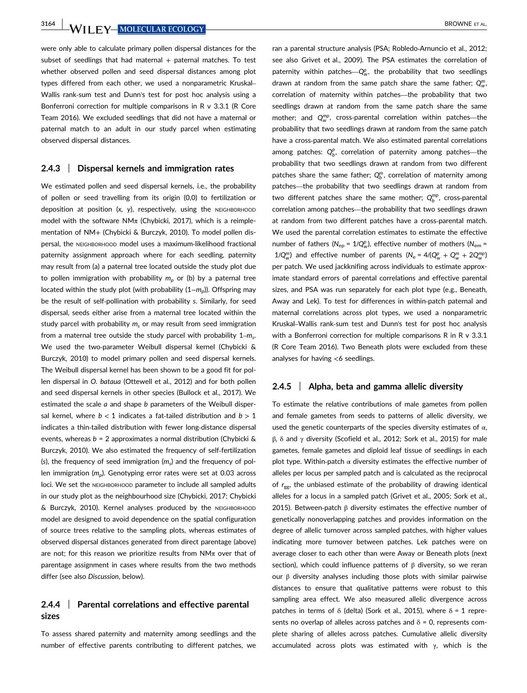**3164 WILEY-MOLECULAR ECOLOGY** BROWNE ET AL.

were only able to calculate primary pollen dispersal distances for the subset of seedlings that had maternal  $+$  paternal matches. To test whether observed pollen and seed dispersal distances among plot types differed from each other, we used a nonparametric Kruskal– Wallis rank‐sum test and Dunn's test for post hoc analysis using a Bonferroni correction for multiple comparisons in R v 3.3.1 (R Core Team 2016). We excluded seedlings that did not have a maternal or paternal match to an adult in our study parcel when estimating observed dispersal distances.

#### **2.4.3** | **Dispersal kernels and immigration rates**

We estimated pollen and seed dispersal kernels, i.e., the probability of pollen or seed travelling from its origin (0,0) to fertilization or deposition at position (x, y), respectively, using the NEIGHBORHOOD model with the software NM $\pi$  (Chybicki, 2017), which is a reimplementation of NM+ (Chybicki & Burczyk, 2010). To model pollen dispersal, the NEIGHBORHOOD model uses a maximum‐likelihood fractional paternity assignment approach where for each seedling, paternity may result from (a) a paternal tree located outside the study plot due to pollen immigration with probability  $m_p$  or (b) by a paternal tree located within the study plot (with probability (1−*mp*)). Offspring may be the result of self‐pollination with probability *s*. Similarly, for seed dispersal, seeds either arise from a maternal tree located within the study parcel with probability *ms* or may result from seed immigration from a maternal tree outside the study parcel with probability 1–*ms*. We used the two-parameter Weibull dispersal kernel (Chybicki & Burczyk, 2010) to model primary pollen and seed dispersal kernels. The Weibull dispersal kernel has been shown to be a good fit for pollen dispersal in *O. bataua* (Ottewell et al., 2012) and for both pollen and seed dispersal kernels in other species (Bullock et al., 2017). We estimated the scale *a* and shape *b* parameters of the Weibull dispersal kernel, where  $b < 1$  indicates a fat-tailed distribution and  $b > 1$ indicates a thin-tailed distribution with fewer long-distance dispersal events, whereas *b* = 2 approximates a normal distribution (Chybicki & Burczyk, 2010). We also estimated the frequency of self‐fertilization (*s*), the frequency of seed immigration (*ms*) and the frequency of pollen immigration (*mp*). Genotyping error rates were set at 0.03 across loci. We set the NEIGHBORHOOD parameter to include all sampled adults in our study plot as the neighbourhood size (Chybicki, 2017; Chybicki & Burczyk, 2010). Kernel analyses produced by the NEIGHBORHOOD model are designed to avoid dependence on the spatial configuration of source trees relative to the sampling plots, whereas estimates of observed dispersal distances generated from direct parentage (above) are not; for this reason we prioritize results from  $NM\pi$  over that of parentage assignment in cases where results from the two methods differ (see also *Discussion*, below).

# **2.4.4** | **Parental correlations and effective parental sizes**

To assess shared paternity and maternity among seedlings and the number of effective parents contributing to different patches, we ran a parental structure analysis (PSA; Robledo‐Arnuncio et al., 2012; see also Grivet et al., 2009). The PSA estimates the correlation of paternity within patches—Q<sup>p</sup><sub>w</sub>, the probability that two seedlings drawn at random from the same patch share the same father;  $Q_w^m$ correlation of maternity within patches—the probability that two seedlings drawn at random from the same patch share the same mother; and  $Q_{w}^{mp}$ , cross-parental correlation within patches—the probability that two seedlings drawn at random from the same patch have a cross-parental match. We also estimated parental correlations among patches:  $Q_b^p$ , correlation of paternity among patches—the probability that two seedlings drawn at random from two different patches share the same father;  $Q_b^m$ , correlation of maternity among patches—the probability that two seedlings drawn at random from two different patches share the same mother;  $Q_b^{mp}$ , cross-parental correlation among patches—the probability that two seedlings drawn at random from two different patches have a cross‐parental match. We used the parental correlation estimates to estimate the effective number of fathers ( $N_{\text{ep}} = 1/Q_w^p$ ), effective number of mothers ( $N_{\text{em}} =$ 1/Q<sub>*w*</sub></sub> ) and effective number of parents ( $N_e = 4/(Q_w^p + Q_w^m + 2Q_w^{mp})$ per patch. We used jackknifing across individuals to estimate approximate standard errors of parental correlations and effective parental sizes, and PSA was run separately for each plot type (e.g., Beneath, Away and Lek). To test for differences in within‐patch paternal and maternal correlations across plot types, we used a nonparametric Kruskal–Wallis rank‐sum test and Dunn's test for post hoc analysis with a Bonferroni correction for multiple comparisons R in R v 3.3.1 (R Core Team 2016). Two Beneath plots were excluded from these analyses for having <6 seedlings.

# **2.4.5** | **Alpha, beta and gamma allelic diversity**

To estimate the relative contributions of male gametes from pollen and female gametes from seeds to patterns of allelic diversity, we used the genetic counterparts of the species diversity estimates of  $\alpha$ , β, δ and γ diversity (Scofield et al., 2012; Sork et al., 2015) for male gametes, female gametes and diploid leaf tissue of seedlings in each plot type. Within-patch  $\alpha$  diversity estimates the effective number of alleles per locus per sampled patch and is calculated as the reciprocal of r<sub>gg</sub>, the unbiased estimate of the probability of drawing identical alleles for a locus in a sampled patch (Grivet et al., 2005; Sork et al., 2015). Between-patch  $β$  diversity estimates the effective number of genetically nonoverlapping patches and provides information on the degree of allelic turnover across sampled patches, with higher values indicating more turnover between patches. Lek patches were on average closer to each other than were Away or Beneath plots (next section), which could influence patterns of β diversity, so we reran our  $β$  diversity analyses including those plots with similar pairwise distances to ensure that qualitative patterns were robust to this sampling area effect. We also measured allelic divergence across patches in terms of δ (delta) (Sork et al., 2015), where  $δ = 1$  represents no overlap of alleles across patches and  $\delta$  = 0, represents complete sharing of alleles across patches. Cumulative allelic diversity accumulated across plots was estimated with  $\gamma$ , which is the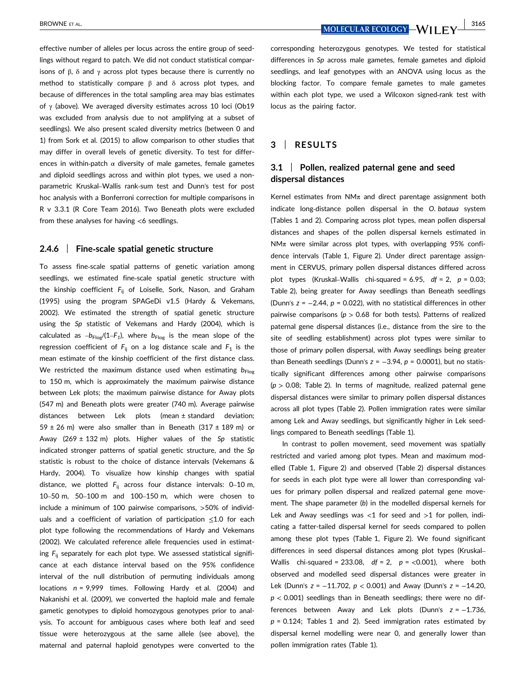effective number of alleles per locus across the entire group of seedlings without regard to patch. We did not conduct statistical comparisons of β, δ and γ across plot types because there is currently no method to statistically compare β and δ across plot types, and because of differences in the total sampling area may bias estimates of  $\gamma$  (above). We averaged diversity estimates across 10 loci (Ob19 was excluded from analysis due to not amplifying at a subset of seedlings). We also present scaled diversity metrics (between 0 and 1) from Sork et al. (2015) to allow comparison to other studies that may differ in overall levels of genetic diversity. To test for differences in within-patch  $\alpha$  diversity of male gametes, female gametes and diploid seedlings across and within plot types, we used a nonparametric Kruskal–Wallis rank‐sum test and Dunn's test for post hoc analysis with a Bonferroni correction for multiple comparisons in R v 3.3.1 (R Core Team 2016). Two Beneath plots were excluded from these analyses for having <6 seedlings.

#### **2.4.6** | **Fine‐scale spatial genetic structure**

To assess fine‐scale spatial patterns of genetic variation among seedlings, we estimated fine‐scale spatial genetic structure with the kinship coefficient *F*ij of Loiselle, Sork, Nason, and Graham (1995) using the program SPAGeDi v1.5 (Hardy & Vekemans, 2002). We estimated the strength of spatial genetic structure using the *Sp* statistic of Vekemans and Hardy (2004), which is calculated as  $-b_{Flog}/(1-F_1)$ , where  $b_{Flog}$  is the mean slope of the regression coefficient of  $F_{ii}$  on a log distance scale and  $F_1$  is the mean estimate of the kinship coefficient of the first distance class. We restricted the maximum distance used when estimating  $b_{\text{Flog}}$ to 150 m, which is approximately the maximum pairwise distance between Lek plots; the maximum pairwise distance for Away plots (547 m) and Beneath plots were greater (740 m). Average pairwise distances between Lek plots (mean ± standard deviation; 59  $\pm$  26 m) were also smaller than in Beneath (317  $\pm$  189 m) or Away (269 ± 132 m) plots. Higher values of the *Sp* statistic indicated stronger patterns of spatial genetic structure, and the *Sp* statistic is robust to the choice of distance intervals (Vekemans & Hardy, 2004). To visualize how kinship changes with spatial distance, we plotted F<sub>ij</sub> across four distance intervals: 0-10 m, 10–50 m, 50–100 m and 100–150 m, which were chosen to include a minimum of 100 pairwise comparisons, >50% of individuals and a coefficient of variation of participation ≤1.0 for each plot type following the recommendations of Hardy and Vekemans (2002). We calculated reference allele frequencies used in estimating *F*ij separately for each plot type. We assessed statistical significance at each distance interval based on the 95% confidence interval of the null distribution of permuting individuals among locations *n* = 9,999 times. Following Hardy et al. (2004) and Nakanishi et al. (2009), we converted the haploid male and female gametic genotypes to diploid homozygous genotypes prior to analysis. To account for ambiguous cases where both leaf and seed tissue were heterozygous at the same allele (see above), the maternal and paternal haploid genotypes were converted to the

BROWNE ET AL. **ALL PROWNE ET AL. 3165** 

corresponding heterozygous genotypes. We tested for statistical differences in *Sp* across male gametes, female gametes and diploid seedlings, and leaf genotypes with an ANOVA using locus as the blocking factor. To compare female gametes to male gametes within each plot type, we used a Wilcoxon signed-rank test with locus as the pairing factor.

## **3** | **RESULTS**

# **3.1** | **Pollen, realized paternal gene and seed dispersal distances**

Kernel estimates from  $NM\pi$  and direct parentage assignment both indicate long‐distance pollen dispersal in the *O. bataua* system (Tables 1 and 2). Comparing across plot types, mean pollen dispersal distances and shapes of the pollen dispersal kernels estimated in  $NM\pi$  were similar across plot types, with overlapping 95% confidence intervals (Table 1, Figure 2). Under direct parentage assignment in CERVUS, primary pollen dispersal distances differed across plot types (Kruskal–Wallis chi‐squared = 6.95, *df* = 2, *p* = 0.03; Table 2), being greater for Away seedlings than Beneath seedlings (Dunn's *z* = −2.44, *p* = 0.022), with no statistical differences in other pairwise comparisons (*p* > 0.68 for both tests). Patterns of realized paternal gene dispersal distances (i.e., distance from the sire to the site of seedling establishment) across plot types were similar to those of primary pollen dispersal, with Away seedlings being greater than Beneath seedlings (Dunn's *z* = −3.94, *p* = 0.0001), but no statistically significant differences among other pairwise comparisons (*p* > 0.08; Table 2). In terms of magnitude, realized paternal gene dispersal distances were similar to primary pollen dispersal distances across all plot types (Table 2). Pollen immigration rates were similar among Lek and Away seedlings, but significantly higher in Lek seedlings compared to Beneath seedlings (Table 1).

In contrast to pollen movement, seed movement was spatially restricted and varied among plot types. Mean and maximum modelled (Table 1, Figure 2) and observed (Table 2) dispersal distances for seeds in each plot type were all lower than corresponding values for primary pollen dispersal and realized paternal gene movement. The shape parameter (*b*) in the modelled dispersal kernels for Lek and Away seedlings was  $<$ 1 for seed and  $>$ 1 for pollen, indicating a fatter-tailed dispersal kernel for seeds compared to pollen among these plot types (Table 1, Figure 2). We found significant differences in seed dispersal distances among plot types (Kruskal– Wallis chi‐squared = 233.08, *df* = 2, *p* = <0.001), where both observed and modelled seed dispersal distances were greater in Lek (Dunn's *z* = −11.702, *p* < 0.001) and Away (Dunn's *z* = −14.20, *p* < 0.001) seedlings than in Beneath seedlings; there were no differences between Away and Lek plots (Dunn's *z* = −1.736,  $p = 0.124$ ; Tables 1 and 2). Seed immigration rates estimated by dispersal kernel modelling were near 0, and generally lower than pollen immigration rates (Table 1).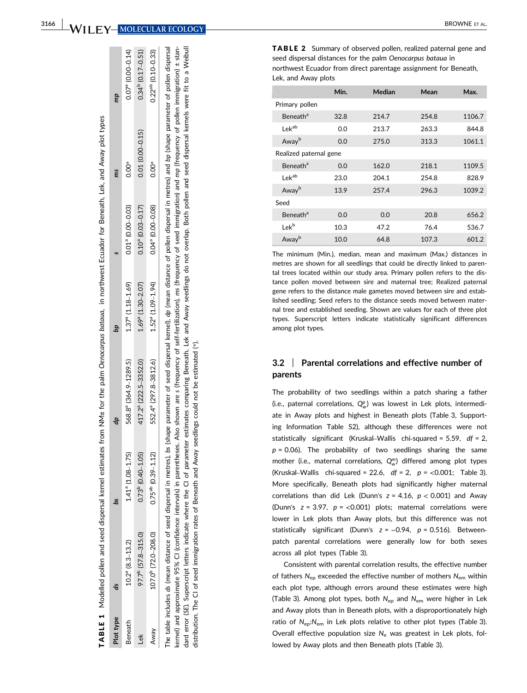WILEY-MOLECULAR ECOLOGY

| Plot type | á                              | 8d                             |                                                                                                                                                                                                                                                                                                                                                                                                                                 | αd                              |                     | ms                  | dul                     |
|-----------|--------------------------------|--------------------------------|---------------------------------------------------------------------------------------------------------------------------------------------------------------------------------------------------------------------------------------------------------------------------------------------------------------------------------------------------------------------------------------------------------------------------------|---------------------------------|---------------------|---------------------|-------------------------|
| Beneath   | $10.2^{\circ}$ (8.3-13.2)      | $41a$ (1.08-1.75)              | 568.8 <sup>ª</sup> (364.9-1289.5)                                                                                                                                                                                                                                                                                                                                                                                               | $1.37a$ (1.18-1.69)             | $0.01a$ (0.00-0.03) | $0.00*$             | $0.07a$ (0.00-0.14)     |
| ě         | 97.7 <sup>b</sup> (57.8-315.0) | $0.73^{\rm b}$ $(0.40 - 1.05)$ | 417.2 <sup>ª</sup> (222.5-3352.0)                                                                                                                                                                                                                                                                                                                                                                                               | $1.69$ <sup>a</sup> (1.30-2.07) | $0.10a$ (0.03-0.17) | $0.01(0.00 - 0.15)$ | $0.34^{p}$ (0.17-0.51)  |
| Away      | 107.0 (72.0-208.0)             | $0.75^{ab}$ $(0.39 - 1.12)$    | 552.4 <sup>ª</sup> (297.8-3812.6)                                                                                                                                                                                                                                                                                                                                                                                               | $1.52^{\circ}$ (1.09-1.94)      | 0.04° (0.00-0.08)   | Ő<br>O.O            | $0.22^{ab}$ (0.10-0.33) |
|           |                                |                                | The table includes as (mean distance of seed dispersal in metres), bs (shape parameter of seed dispersal kernel), ap (mean distance of pollen dispersal in metres) and bp (shape parameter of pollen dispersal<br>kernel) and approximate 95% CI (confidence intervals) in parentheses. Also shown are s (frequency of self-fertilization), ms (frequency of seed immigration) and mp (frequency of pollen immigration) ± stan- |                                 |                     |                     |                         |

Modelled pollen and seed dispersal kernel estimates from NMπ for the palm *Oenocarpus bataua,* in northwest Ecuador for Beneath, Lek, and Away plot types

TABLE 1 Modelled pollen and seed dispersal kernel estimates from NMn for the palm Oenocarpus bataua. in northwest Ecuador for Beneath, Lek, and Away plot types

TABLE 1

a Weibull dard error (SE). Superscript letters indicate where the CI of parameter estimates comparing Beneath, Lek and Away seedlings do not overlap. Both pollen and seed dispersal kernels were fit to a Weibull 5 ŧ Both pollen and seed dispersal kernels were overlap. dard error (SE). Superscript letters indicate where the CI of parameter estimates comparing Beneath, Lek and Away seedlings do not distribution. The CI of seed immigration rates of Beneath and Away seedlings could not be estimated (\*). distribution. The CI of seed immigration rates of Beneath and Away seedlings could not be estimated (\*).

TABLE 2 Summary of observed pollen, realized paternal gene and seed dispersal distances for the palm *Oenocarpus bataua* in northwest Ecuador from direct parentage assignment for Beneath, Lek, and Away plots

|                            | Min. | Median | Mean  | Max.   |  |  |  |
|----------------------------|------|--------|-------|--------|--|--|--|
| Primary pollen             |      |        |       |        |  |  |  |
| <b>Beneath<sup>a</sup></b> | 32.8 | 214.7  | 254.8 | 1106.7 |  |  |  |
| Lekab                      | 0.0  | 213.7  | 263.3 | 844.8  |  |  |  |
| Awayb                      | 0.0  | 275.0  | 313.3 | 1061.1 |  |  |  |
| Realized paternal gene     |      |        |       |        |  |  |  |
| <b>Beneath<sup>a</sup></b> | 0.0  | 162.0  | 218.1 | 1109.5 |  |  |  |
| I ek <sup>ab</sup>         | 23.0 | 204.1  | 254.8 | 828.9  |  |  |  |
| Awayb                      | 13.9 | 257.4  | 296.3 | 1039.2 |  |  |  |
| Seed                       |      |        |       |        |  |  |  |
| Beneath <sup>a</sup>       | 0.0  | 0.0    | 20.8  | 656.2  |  |  |  |
| Lek <sup>b</sup>           | 10.3 | 47.2   | 76.4  | 536.7  |  |  |  |
| Away <sup>b</sup>          | 10.0 | 64.8   | 107.3 | 601.2  |  |  |  |

The minimum (Min.), median, mean and maximum (Max.) distances in metres are shown for all seedlings that could be directly linked to parental trees located within our study area. Primary pollen refers to the distance pollen moved between sire and maternal tree; Realized paternal gene refers to the distance male gametes moved between sire and established seedling; Seed refers to the distance seeds moved between maternal tree and established seeding. Shown are values for each of three plot types. Superscript letters indicate statistically significant differences among plot types.

#### **3.2** | **Parental correlations and effective number of parents**

The probability of two seedlings within a patch sharing a father (i.e., paternal correlations,  $Q^p_w$ ) was lowest in Lek plots, intermediate in Away plots and highest in Beneath plots (Table 3, Supporting Information Table S2), although these differences were not statistically significant (Kruskal –Wallis chi ‐squared = 5.59, *df* = 2,  $p = 0.06$ ). The probability of two seedlings sharing the same mother (i.e., maternal correlations,  $Q_w^m$ ) differed among plot types  $(Kruskal-Wallis$  chi-squared = 22.6,  $df = 2$ ,  $p = <0.001$ ; Table 3). More specifically, Beneath plots had significantly higher maternal correlations than did Lek (Dunn's  $z = 4.16$ ,  $p < 0.001$ ) and Away (Dunn's  $z = 3.97$ ,  $p = <0.001$ ) plots; maternal correlations were lower in Lek plots than Away plots, but this difference was not statistically significant (Dunn's  $z = -0.94$ ,  $p = 0.516$ ). Betweenpatch parental correlations were generally low for both sexes across all plot types (Table 3).

Consistent with parental correlation results, the effective number of fathers *N*ep exceeded the effective number of mothers *N*em within each plot type, although errors around these estimates were high (Table 3). Among plot types, both *N*ep and *N*em were higher in Lek and Away plots than in Beneath plots, with a disproportionately high ratio of N<sub>ep</sub>:N<sub>em</sub> in Lek plots relative to other plot types (Table 3). Overall effective population size N<sub>e</sub> was greatest in Lek plots, followed by Away plots and then Beneath plots (Table 3).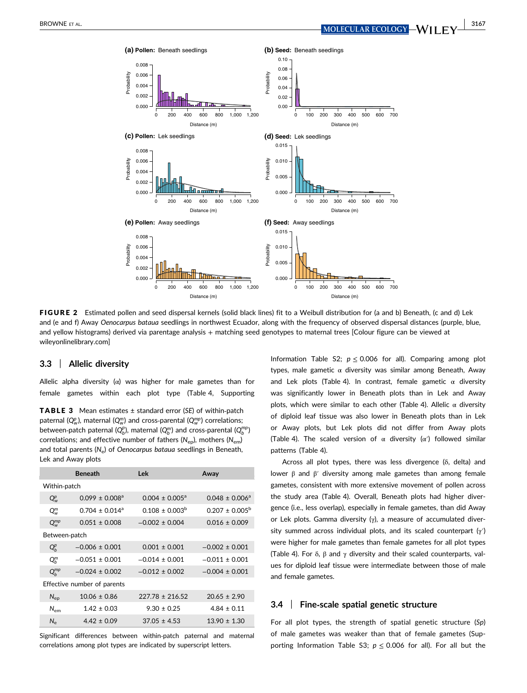

FIGURE 2 Estimated pollen and seed dispersal kernels (solid black lines) fit to a Weibull distribution for (a and b) Beneath, (c and d) Lek and (e and f) Away *Oenocarpus bataua* seedlings in northwest Ecuador, along with the frequency of observed dispersal distances (purple, blue, and yellow histograms) derived via parentage analysis + matching seed genotypes to maternal trees [Colour figure can be viewed at wileyonlinelibrary.com]

# **3.3** | **Allelic diversity**

Allelic alpha diversity ( $\alpha$ ) was higher for male gametes than for female gametes within each plot type (Table 4, Supporting

TABLE 3 Mean estimates ± standard error (*SE*) of within‐patch paternal (Q $_{\mathrm{w}}^p$ ), maternal (Q $_{\mathrm{w}}^m$ ) and cross-parental (Q $_{\mathrm{w}}^{mp}$ ) correlations; between-patch paternal ( $Q^p_b$ ), maternal ( $Q^m_b$ ) and cross-parental ( $Q^{\tiny mp}_b$ ) correlations; and effective number of fathers (N<sub>ep</sub>), mothers (N<sub>em</sub>) and total parents (N<sub>e</sub>) of *Oenocarpus bataua* seedlings in Beneath, Lek and Away plots

| <b>Beneath</b>                 | Lek                 | Away                |  |  |  |  |  |
|--------------------------------|---------------------|---------------------|--|--|--|--|--|
| Within-patch                   |                     |                     |  |  |  |  |  |
| $0.099 \pm 0.008$ <sup>a</sup> | $0.004 \pm 0.005^a$ | $0.048 \pm 0.006^a$ |  |  |  |  |  |
| $0.704 \pm 0.014$ <sup>a</sup> | $0.108 \pm 0.003^b$ | $0.207 \pm 0.005^b$ |  |  |  |  |  |
| $0.051 + 0.008$                | $-0.002 + 0.004$    | $0.016 \pm 0.009$   |  |  |  |  |  |
| Between-patch                  |                     |                     |  |  |  |  |  |
| $-0.006 \pm 0.001$             | $0.001 \pm 0.001$   | $-0.002 \pm 0.001$  |  |  |  |  |  |
| $-0.051 \pm 0.001$             | $-0.014 \pm 0.001$  | $-0.011 \pm 0.001$  |  |  |  |  |  |
| $-0.024 \pm 0.002$             | $-0.012 + 0.002$    | $-0.004 \pm 0.001$  |  |  |  |  |  |
| Effective number of parents    |                     |                     |  |  |  |  |  |
| $10.06 \pm 0.86$               | $227.78 + 216.52$   | $20.65 \pm 2.90$    |  |  |  |  |  |
| $1.42 \pm 0.03$                | $9.30 \pm 0.25$     | $4.84 \pm 0.11$     |  |  |  |  |  |
| $4.42 \pm 0.09$                | $37.05 \pm 4.53$    | $13.90 \pm 1.30$    |  |  |  |  |  |
|                                |                     |                     |  |  |  |  |  |

Significant differences between within‐patch paternal and maternal correlations among plot types are indicated by superscript letters.

Information Table S2;  $p \le 0.006$  for all). Comparing among plot types, male gametic α diversity was similar among Beneath, Away and Lek plots (Table 4). In contrast, female gametic  $\alpha$  diversity was significantly lower in Beneath plots than in Lek and Away plots, which were similar to each other (Table 4). Allelic  $\alpha$  diversity of diploid leaf tissue was also lower in Beneath plots than in Lek or Away plots, but Lek plots did not differ from Away plots (Table 4). The scaled version of  $\alpha$  diversity ( $\alpha'$ ) followed similar patterns (Table 4).

Across all plot types, there was less divergence (δ, delta) and lower β and β′ diversity among male gametes than among female gametes, consistent with more extensive movement of pollen across the study area (Table 4). Overall, Beneath plots had higher divergence (i.e., less overlap), especially in female gametes, than did Away or Lek plots. Gamma diversity  $(y)$ , a measure of accumulated diversity summed across individual plots, and its scaled counterpart (γ′) were higher for male gametes than female gametes for all plot types (Table 4). For  $\delta$ ,  $\beta$  and  $\gamma$  diversity and their scaled counterparts, values for diploid leaf tissue were intermediate between those of male and female gametes.

## **3.4** | **Fine‐scale spatial genetic structure**

For all plot types, the strength of spatial genetic structure (*Sp*) of male gametes was weaker than that of female gametes (Supporting Information Table S3;  $p \le 0.006$  for all). For all but the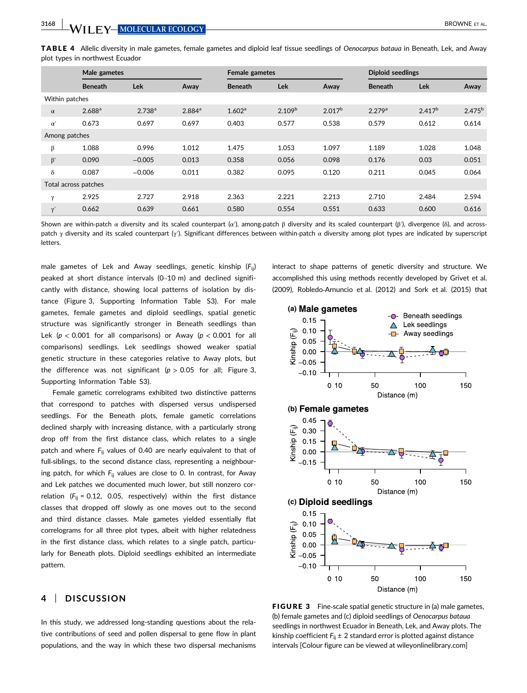TABLE 4 Allelic diversity in male gametes, female gametes and diploid leaf tissue seedlings of *Oenocarpus bataua* in Beneath, Lek, and Away plot types in northwest Ecuador

|                |                      | Male gametes |                    |                    | Female gametes     |             |                    | <b>Diploid seedlings</b> |             |  |
|----------------|----------------------|--------------|--------------------|--------------------|--------------------|-------------|--------------------|--------------------------|-------------|--|
|                | <b>Beneath</b>       | <b>Lek</b>   | Away               | <b>Beneath</b>     | <b>Lek</b>         | Away        | <b>Beneath</b>     | <b>Lek</b>               | Away        |  |
| Within patches |                      |              |                    |                    |                    |             |                    |                          |             |  |
| $\alpha$       | 2.688 <sup>a</sup>   | $2.738^{a}$  | 2.884 <sup>a</sup> | 1.602 <sup>a</sup> | 2.109 <sup>b</sup> | $2.017^{b}$ | 2.279 <sup>a</sup> | $2.417^{b}$              | $2.475^{b}$ |  |
| $\alpha'$      | 0.673                | 0.697        | 0.697              | 0.403              | 0.577              | 0.538       | 0.579              | 0.612                    | 0.614       |  |
| Among patches  |                      |              |                    |                    |                    |             |                    |                          |             |  |
| β              | 1.088                | 0.996        | 1.012              | 1.475              | 1.053              | 1.097       | 1.189              | 1.028                    | 1.048       |  |
| $\beta'$       | 0.090                | $-0.005$     | 0.013              | 0.358              | 0.056              | 0.098       | 0.176              | 0.03                     | 0.051       |  |
| $\delta$       | 0.087                | $-0.006$     | 0.011              | 0.382              | 0.095              | 0.120       | 0.211              | 0.045                    | 0.064       |  |
|                | Total across patches |              |                    |                    |                    |             |                    |                          |             |  |
| $\gamma$       | 2.925                | 2.727        | 2.918              | 2.363              | 2.221              | 2.213       | 2.710              | 2.484                    | 2.594       |  |
| $\gamma'$      | 0.662                | 0.639        | 0.661              | 0.580              | 0.554              | 0.551       | 0.633              | 0.600                    | 0.616       |  |

Shown are within-patch α diversity and its scaled counterpart (α'), among-patch β diversity and its scaled counterpart (β'), divergence (δ), and acrosspatch  $\gamma$  diversity and its scaled counterpart (γ′). Significant differences between within-patch  $\alpha$  diversity among plot types are indicated by superscript letters.

male gametes of Lek and Away seedlings, genetic kinship (*F*ij) peaked at short distance intervals (0–10 m) and declined significantly with distance, showing local patterns of isolation by distance (Figure 3, Supporting Information Table S3). For male gametes, female gametes and diploid seedlings, spatial genetic structure was significantly stronger in Beneath seedlings than Lek ( $p < 0.001$  for all comparisons) or Away ( $p < 0.001$  for all comparisons) seedlings. Lek seedlings showed weaker spatial genetic structure in these categories relative to Away plots, but the difference was not significant ( $p > 0.05$  for all; Figure 3, Supporting Information Table S3).

Female gametic correlograms exhibited two distinctive patterns that correspond to patches with dispersed versus undispersed seedlings. For the Beneath plots, female gametic correlations declined sharply with increasing distance, with a particularly strong drop off from the first distance class, which relates to a single patch and where F<sub>ij</sub> values of 0.40 are nearly equivalent to that of full-siblings, to the second distance class, representing a neighbouring patch, for which  $F_{ii}$  values are close to 0. In contrast, for Away and Lek patches we documented much lower, but still nonzero correlation  $(F_{ii} = 0.12, 0.05,$  respectively) within the first distance classes that dropped off slowly as one moves out to the second and third distance classes. Male gametes yielded essentially flat correlograms for all three plot types, albeit with higher relatedness in the first distance class, which relates to a single patch, particularly for Beneath plots. Diploid seedlings exhibited an intermediate pattern.

# **4** | **DISCUSSION**

In this study, we addressed long-standing questions about the relative contributions of seed and pollen dispersal to gene flow in plant populations, and the way in which these two dispersal mechanisms

interact to shape patterns of genetic diversity and structure. We accomplished this using methods recently developed by Grivet et al. (2009), Robledo‐Arnuncio et al. (2012) and Sork et al. (2015) that



FIGURE 3 Fine-scale spatial genetic structure in (a) male gametes, (b) female gametes and (c) diploid seedlings of *Oenocarpus bataua* seedlings in northwest Ecuador in Beneath, Lek, and Away plots. The kinship coefficient  $F_{ii} \pm 2$  standard error is plotted against distance intervals [Colour figure can be viewed at wileyonlinelibrary.com]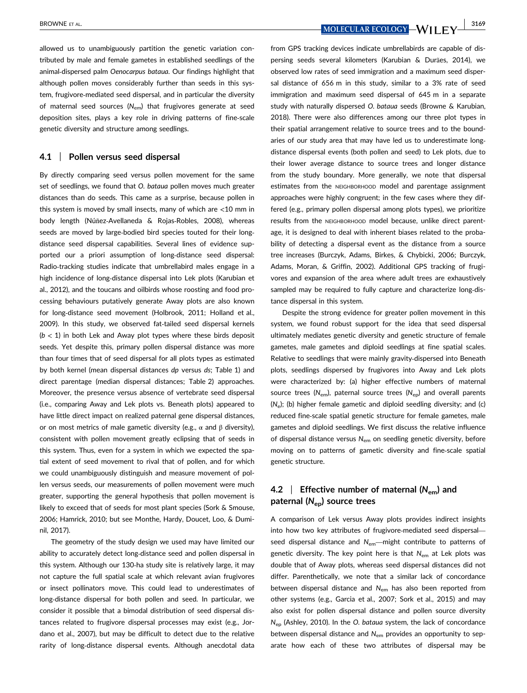allowed us to unambiguously partition the genetic variation contributed by male and female gametes in established seedlings of the animal‐dispersed palm *Oenocarpus bataua.* Our findings highlight that although pollen moves considerably further than seeds in this system, frugivore‐mediated seed dispersal, and in particular the diversity of maternal seed sources (N<sub>em</sub>) that frugivores generate at seed deposition sites, plays a key role in driving patterns of fine‐scale genetic diversity and structure among seedlings.

#### **4.1** | **Pollen versus seed dispersal**

By directly comparing seed versus pollen movement for the same set of seedlings, we found that *O. bataua* pollen moves much greater distances than do seeds. This came as a surprise, because pollen in this system is moved by small insects, many of which are <10 mm in body length (Núñez‐Avellaneda & Rojas‐Robles, 2008), whereas seeds are moved by large-bodied bird species touted for their longdistance seed dispersal capabilities. Several lines of evidence supported our a priori assumption of long-distance seed dispersal: Radio‐tracking studies indicate that umbrellabird males engage in a high incidence of long‐distance dispersal into Lek plots (Karubian et al., 2012), and the toucans and oilbirds whose roosting and food processing behaviours putatively generate Away plots are also known for long‐distance seed movement (Holbrook, 2011; Holland et al., 2009). In this study, we observed fat-tailed seed dispersal kernels  $(b < 1)$  in both Lek and Away plot types where these birds deposit seeds. Yet despite this, primary pollen dispersal distance was more than four times that of seed dispersal for all plots types as estimated by both kernel (mean dispersal distances *dp* versus *ds*; Table 1) and direct parentage (median dispersal distances; Table 2) approaches. Moreover, the presence versus absence of vertebrate seed dispersal (i.e., comparing Away and Lek plots vs. Beneath plots) appeared to have little direct impact on realized paternal gene dispersal distances, or on most metrics of male gametic diversity (e.g.,  $\alpha$  and  $\beta$  diversity), consistent with pollen movement greatly eclipsing that of seeds in this system. Thus, even for a system in which we expected the spatial extent of seed movement to rival that of pollen, and for which we could unambiguously distinguish and measure movement of pollen versus seeds, our measurements of pollen movement were much greater, supporting the general hypothesis that pollen movement is likely to exceed that of seeds for most plant species (Sork & Smouse, 2006; Hamrick, 2010; but see Monthe, Hardy, Doucet, Loo, & Duminil, 2017).

The geometry of the study design we used may have limited our ability to accurately detect long‐distance seed and pollen dispersal in this system. Although our 130‐ha study site is relatively large, it may not capture the full spatial scale at which relevant avian frugivores or insect pollinators move. This could lead to underestimates of long-distance dispersal for both pollen and seed. In particular, we consider it possible that a bimodal distribution of seed dispersal distances related to frugivore dispersal processes may exist (e.g., Jordano et al., 2007), but may be difficult to detect due to the relative rarity of long-distance dispersal events. Although anecdotal data from GPS tracking devices indicate umbrellabirds are capable of dispersing seeds several kilometers (Karubian & Durães, 2014), we observed low rates of seed immigration and a maximum seed dispersal distance of 656 m in this study, similar to a 3% rate of seed immigration and maximum seed dispersal of 645 m in a separate study with naturally dispersed *O. bataua* seeds (Browne & Karubian, 2018). There were also differences among our three plot types in their spatial arrangement relative to source trees and to the boundaries of our study area that may have led us to underestimate long‐ distance dispersal events (both pollen and seed) to Lek plots, due to their lower average distance to source trees and longer distance from the study boundary. More generally, we note that dispersal estimates from the NEIGHBORHOOD model and parentage assignment approaches were highly congruent; in the few cases where they differed (e.g., primary pollen dispersal among plots types), we prioritize results from the NEIGHBORHOOD model because, unlike direct parentage, it is designed to deal with inherent biases related to the probability of detecting a dispersal event as the distance from a source tree increases (Burczyk, Adams, Birkes, & Chybicki, 2006; Burczyk, Adams, Moran, & Griffin, 2002). Additional GPS tracking of frugivores and expansion of the area where adult trees are exhaustively sampled may be required to fully capture and characterize long-distance dispersal in this system.

Despite the strong evidence for greater pollen movement in this system, we found robust support for the idea that seed dispersal ultimately mediates genetic diversity and genetic structure of female gametes, male gametes and diploid seedlings at fine spatial scales. Relative to seedlings that were mainly gravity‐dispersed into Beneath plots, seedlings dispersed by frugivores into Away and Lek plots were characterized by: (a) higher effective numbers of maternal source trees (*N*em), paternal source trees (*N*ep) and overall parents (*N*e); (b) higher female gametic and diploid seedling diversity; and (c) reduced fine‐scale spatial genetic structure for female gametes, male gametes and diploid seedlings. We first discuss the relative influence of dispersal distance versus N<sub>em</sub> on seedling genetic diversity, before moving on to patterns of gametic diversity and fine‐scale spatial genetic structure.

# **4.2** | **Effective number of maternal (** $N_{\text{em}}$ **) and paternal (***N***ep) source trees**

A comparison of Lek versus Away plots provides indirect insights into how two key attributes of frugivore‐mediated seed dispersal seed dispersal distance and *N*<sub>em</sub>—might contribute to patterns of genetic diversity. The key point here is that *N*em at Lek plots was double that of Away plots, whereas seed dispersal distances did not differ. Parenthetically, we note that a similar lack of concordance between dispersal distance and *N*em has also been reported from other systems (e.g., Garcia et al., 2007; Sork et al., 2015) and may also exist for pollen dispersal distance and pollen source diversity *N*ep (Ashley, 2010). In the *O. bataua* system, the lack of concordance between dispersal distance and *N*em provides an opportunity to separate how each of these two attributes of dispersal may be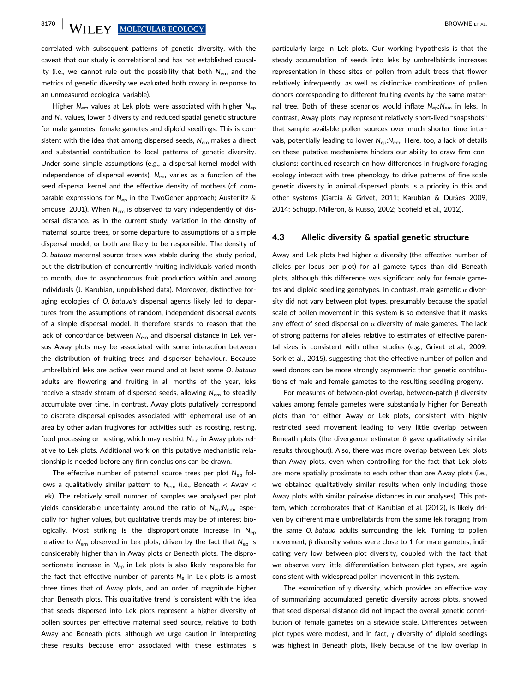**3170 WILEY-MOLECULAR ECOLOGY** BROWNE ET AL.

correlated with subsequent patterns of genetic diversity, with the caveat that our study is correlational and has not established causality (i.e., we cannot rule out the possibility that both *N*em and the metrics of genetic diversity we evaluated both covary in response to an unmeasured ecological variable).

Higher *N<sub>em</sub>* values at Lek plots were associated with higher *N<sub>ep</sub>* and *N*<sup>e</sup> values, lower β diversity and reduced spatial genetic structure for male gametes, female gametes and diploid seedlings. This is consistent with the idea that among dispersed seeds, *N*em makes a direct and substantial contribution to local patterns of genetic diversity. Under some simple assumptions (e.g., a dispersal kernel model with independence of dispersal events), N<sub>em</sub> varies as a function of the seed dispersal kernel and the effective density of mothers (cf. comparable expressions for N<sub>ep</sub> in the TwoGener approach; Austerlitz & Smouse, 2001). When N<sub>em</sub> is observed to vary independently of dispersal distance, as in the current study, variation in the density of maternal source trees, or some departure to assumptions of a simple dispersal model, or both are likely to be responsible. The density of *O. bataua* maternal source trees was stable during the study period, but the distribution of concurrently fruiting individuals varied month to month, due to asynchronous fruit production within and among individuals (J. Karubian, unpublished data). Moreover, distinctive foraging ecologies of *O. bataua's* dispersal agents likely led to departures from the assumptions of random, independent dispersal events of a simple dispersal model. It therefore stands to reason that the lack of concordance between N<sub>em</sub> and dispersal distance in Lek versus Away plots may be associated with some interaction between the distribution of fruiting trees and disperser behaviour. Because umbrellabird leks are active year‐round and at least some *O. bataua* adults are flowering and fruiting in all months of the year, leks receive a steady stream of dispersed seeds, allowing *N*em to steadily accumulate over time. In contrast, Away plots putatively correspond to discrete dispersal episodes associated with ephemeral use of an area by other avian frugivores for activities such as roosting, resting, food processing or nesting, which may restrict *N*em in Away plots relative to Lek plots. Additional work on this putative mechanistic relationship is needed before any firm conclusions can be drawn.

The effective number of paternal source trees per plot N<sub>ep</sub> follows a qualitatively similar pattern to N<sub>em</sub> (i.e., Beneath < Away < Lek). The relatively small number of samples we analysed per plot yields considerable uncertainty around the ratio of *N*ep:*N*em, especially for higher values, but qualitative trends may be of interest biologically. Most striking is the disproportionate increase in N<sub>ep</sub> relative to *N<sub>em</sub>* observed in Lek plots, driven by the fact that *N*<sub>ep</sub> is considerably higher than in Away plots or Beneath plots. The disproportionate increase in *N*ep in Lek plots is also likely responsible for the fact that effective number of parents N<sub>e</sub> in Lek plots is almost three times that of Away plots, and an order of magnitude higher than Beneath plots. This qualitative trend is consistent with the idea that seeds dispersed into Lek plots represent a higher diversity of pollen sources per effective maternal seed source, relative to both Away and Beneath plots, although we urge caution in interpreting these results because error associated with these estimates is particularly large in Lek plots. Our working hypothesis is that the steady accumulation of seeds into leks by umbrellabirds increases representation in these sites of pollen from adult trees that flower relatively infrequently, as well as distinctive combinations of pollen donors corresponding to different fruiting events by the same maternal tree. Both of these scenarios would inflate  $N_{en}:N_{em}$  in leks. In contrast, Away plots may represent relatively short‐lived "snapshots" that sample available pollen sources over much shorter time intervals, potentially leading to lower N<sub>ep</sub>:N<sub>em</sub>. Here, too, a lack of details on these putative mechanisms hinders our ability to draw firm conclusions: continued research on how differences in frugivore foraging ecology interact with tree phenology to drive patterns of fine‐scale genetic diversity in animal‐dispersed plants is a priority in this and other systems (García & Grivet, 2011; Karubian & Durães 2009, 2014; Schupp, Milleron, & Russo, 2002; Scofield et al., 2012).

#### **4.3** | **Allelic diversity & spatial genetic structure**

Away and Lek plots had higher  $\alpha$  diversity (the effective number of alleles per locus per plot) for all gamete types than did Beneath plots, although this difference was significant only for female gametes and diploid seedling genotypes. In contrast, male gametic  $\alpha$  diversity did not vary between plot types, presumably because the spatial scale of pollen movement in this system is so extensive that it masks any effect of seed dispersal on  $\alpha$  diversity of male gametes. The lack of strong patterns for alleles relative to estimates of effective parental sizes is consistent with other studies (e.g., Grivet et al., 2009; Sork et al., 2015), suggesting that the effective number of pollen and seed donors can be more strongly asymmetric than genetic contributions of male and female gametes to the resulting seedling progeny.

For measures of between‐plot overlap, between‐patch β diversity values among female gametes were substantially higher for Beneath plots than for either Away or Lek plots, consistent with highly restricted seed movement leading to very little overlap between Beneath plots (the divergence estimator  $\delta$  gave qualitatively similar results throughout). Also, there was more overlap between Lek plots than Away plots, even when controlling for the fact that Lek plots are more spatially proximate to each other than are Away plots (i.e., we obtained qualitatively similar results when only including those Away plots with similar pairwise distances in our analyses). This pattern, which corroborates that of Karubian et al. (2012), is likely driven by different male umbrellabirds from the same lek foraging from the same *O. bataua* adults surrounding the lek. Turning to pollen movement,  $β$  diversity values were close to 1 for male gametes, indicating very low between‐plot diversity, coupled with the fact that we observe very little differentiation between plot types, are again consistent with widespread pollen movement in this system.

The examination of  $\gamma$  diversity, which provides an effective way of summarizing accumulated genetic diversity across plots, showed that seed dispersal distance did not impact the overall genetic contribution of female gametes on a sitewide scale. Differences between plot types were modest, and in fact,  $\gamma$  diversity of diploid seedlings was highest in Beneath plots, likely because of the low overlap in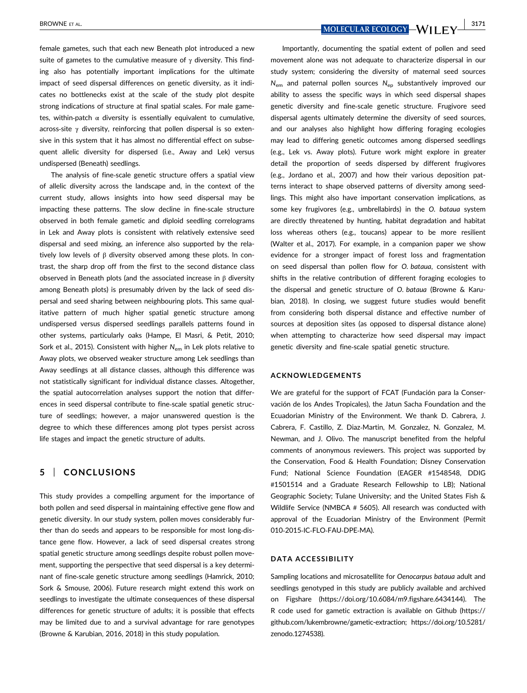female gametes, such that each new Beneath plot introduced a new suite of gametes to the cumulative measure of  $\gamma$  diversity. This finding also has potentially important implications for the ultimate impact of seed dispersal differences on genetic diversity, as it indicates no bottlenecks exist at the scale of the study plot despite strong indications of structure at final spatial scales. For male gametes, within-patch  $\alpha$  diversity is essentially equivalent to cumulative, across-site  $\gamma$  diversity, reinforcing that pollen dispersal is so extensive in this system that it has almost no differential effect on subsequent allelic diversity for dispersed (i.e., Away and Lek) versus undispersed (Beneath) seedlings.

The analysis of fine‐scale genetic structure offers a spatial view of allelic diversity across the landscape and, in the context of the current study, allows insights into how seed dispersal may be impacting these patterns. The slow decline in fine‐scale structure observed in both female gametic and diploid seedling correlograms in Lek and Away plots is consistent with relatively extensive seed dispersal and seed mixing, an inference also supported by the relatively low levels of β diversity observed among these plots. In contrast, the sharp drop off from the first to the second distance class observed in Beneath plots (and the associated increase in  $β$  diversity among Beneath plots) is presumably driven by the lack of seed dispersal and seed sharing between neighbouring plots. This same qualitative pattern of much higher spatial genetic structure among undispersed versus dispersed seedlings parallels patterns found in other systems, particularly oaks (Hampe, El Masri, & Petit, 2010; Sork et al., 2015). Consistent with higher N<sub>em</sub> in Lek plots relative to Away plots, we observed weaker structure among Lek seedlings than Away seedlings at all distance classes, although this difference was not statistically significant for individual distance classes. Altogether, the spatial autocorrelation analyses support the notion that differences in seed dispersal contribute to fine‐scale spatial genetic structure of seedlings; however, a major unanswered question is the degree to which these differences among plot types persist across life stages and impact the genetic structure of adults.

# **5** | **CONCLUSIONS**

This study provides a compelling argument for the importance of both pollen and seed dispersal in maintaining effective gene flow and genetic diversity. In our study system, pollen moves considerably further than do seeds and appears to be responsible for most long‐distance gene flow. However, a lack of seed dispersal creates strong spatial genetic structure among seedlings despite robust pollen movement, supporting the perspective that seed dispersal is a key determinant of fine‐scale genetic structure among seedlings (Hamrick, 2010; Sork & Smouse, 2006). Future research might extend this work on seedlings to investigate the ultimate consequences of these dispersal differences for genetic structure of adults; it is possible that effects may be limited due to and a survival advantage for rare genotypes (Browne & Karubian, 2016, 2018) in this study population.

BROWNE ET AL. **ALL COLORS AND THE UPPER COLORS AND THE UPPER COLORS AND LEGAL COLORY AND LEVEL 3171** 

Importantly, documenting the spatial extent of pollen and seed movement alone was not adequate to characterize dispersal in our study system; considering the diversity of maternal seed sources *N*em and paternal pollen sources *N*ep substantively improved our ability to assess the specific ways in which seed dispersal shapes genetic diversity and fine‐scale genetic structure. Frugivore seed dispersal agents ultimately determine the diversity of seed sources, and our analyses also highlight how differing foraging ecologies may lead to differing genetic outcomes among dispersed seedlings (e.g., Lek vs. Away plots). Future work might explore in greater detail the proportion of seeds dispersed by different frugivores (e.g., Jordano et al., 2007) and how their various deposition patterns interact to shape observed patterns of diversity among seedlings. This might also have important conservation implications, as some key frugivores (e.g., umbrellabirds) in the *O. bataua* system are directly threatened by hunting, habitat degradation and habitat loss whereas others (e.g., toucans) appear to be more resilient (Walter et al., 2017). For example, in a companion paper we show evidence for a stronger impact of forest loss and fragmentation on seed dispersal than pollen flow for *O. bataua*, consistent with shifts in the relative contribution of different foraging ecologies to the dispersal and genetic structure of *O. bataua* (Browne & Karubian, 2018). In closing, we suggest future studies would benefit from considering both dispersal distance and effective number of sources at deposition sites (as opposed to dispersal distance alone) when attempting to characterize how seed dispersal may impact genetic diversity and fine‐scale spatial genetic structure.

#### **ACKNOWLEDGEMENTS**

We are grateful for the support of FCAT (Fundación para la Conservación de los Andes Tropicales), the Jatun Sacha Foundation and the Ecuadorian Ministry of the Environment. We thank D. Cabrera, J. Cabrera, F. Castillo, Z. Diaz‐Martin, M. Gonzalez, N. Gonzalez, M. Newman, and J. Olivo. The manuscript benefited from the helpful comments of anonymous reviewers. This project was supported by the Conservation, Food & Health Foundation; Disney Conservation Fund; National Science Foundation (EAGER #1548548, DDIG #1501514 and a Graduate Research Fellowship to LB); National Geographic Society; Tulane University; and the United States Fish & Wildlife Service (NMBCA # 5605). All research was conducted with approval of the Ecuadorian Ministry of the Environment (Permit 010‐2015‐IC‐FLO‐FAU‐DPE‐MA).

### **DATA ACCESSIBILITY**

Sampling locations and microsatellite for *Oenocarpus bataua* adult and seedlings genotyped in this study are publicly available and archived on Figshare (<https://doi.org/10.6084/m9.figshare.6434144>). The R code used for gametic extraction is available on Github ([https://](https://github.com/lukembrowne/gametic-extraction) [github.com/lukembrowne/gametic-extraction;](https://github.com/lukembrowne/gametic-extraction) [https://doi.org/10.5281/](https://doi.org/10.5281/zenodo.1274538) [zenodo.1274538](https://doi.org/10.5281/zenodo.1274538)).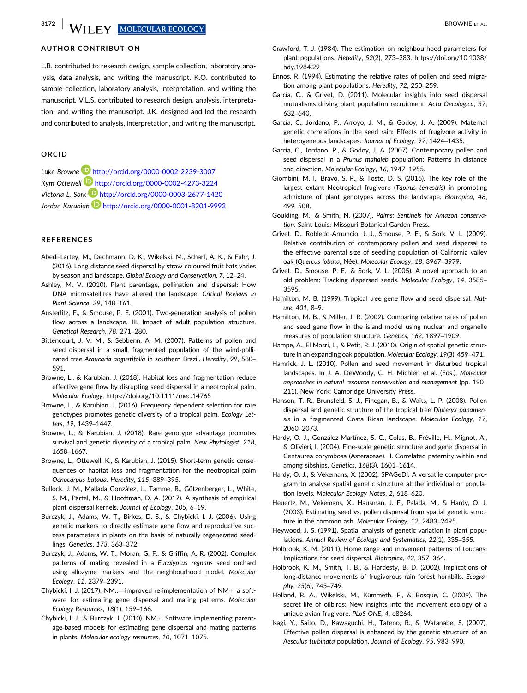# **AUTHOR CONTRIBUTION**

L.B. contributed to research design, sample collection, laboratory analysis, data analysis, and writing the manuscript. K.O. contributed to sample collection, laboratory analysis, interpretation, and writing the manuscript. V.L.S. contributed to research design, analysis, interpretation, and writing the manuscript. J.K. designed and led the research and contributed to analysis, interpretation, and writing the manuscript.

# **ORCID**

*Luke Browne* http://orcid.org/0000-0002-2239-3007 *Kym Ottewell* http://orcid.org/0000-0002-4273-3224 *Victoria L. Sork* http://orcid.org/0000-0003-2677-1420 *Jordan Karubian* http://orcid.org/0000-0001-8201-9992

#### **REFERENCES**

- Abedi-Lartey, M., Dechmann, D. K., Wikelski, M., Scharf, A. K., & Fahr, J. (2016). Long‐distance seed dispersal by straw‐coloured fruit bats varies by season and landscape. *Global Ecology and Conservation*, *7*, 12–24.
- Ashley, M. V. (2010). Plant parentage, pollination and dispersal: How DNA microsatellites have altered the landscape. *Critical Reviews in Plant Science*, *29*, 148–161.
- Austerlitz, F., & Smouse, P. E. (2001). Two‐generation analysis of pollen flow across a landscape. III. Impact of adult population structure. *Genetical Research*, *78*, 271–280.
- Bittencourt, J. V. M., & Sebbenn, A. M. (2007). Patterns of pollen and seed dispersal in a small, fragmented population of the wind‐pollinated tree *Araucaria angustifolia* in southern Brazil. *Heredity*, *99*, 580– 591.
- Browne, L., & Karubian, J. (2018). Habitat loss and fragmentation reduce effective gene flow by disrupting seed dispersal in a neotropical palm. *Molecular Ecology*,<https://doi.org/10.1111/mec.14765>
- Browne, L., & Karubian, J. (2016). Frequency dependent selection for rare genotypes promotes genetic diversity of a tropical palm. *Ecology Letters*, *19*, 1439–1447.
- Browne, L., & Karubian, J. (2018). Rare genotype advantage promotes survival and genetic diversity of a tropical palm. *New Phytologist*, *218*, 1658–1667.
- Browne, L., Ottewell, K., & Karubian, J. (2015). Short‐term genetic consequences of habitat loss and fragmentation for the neotropical palm *Oenocarpus bataua*. *Heredity*, *115*, 389–395.
- Bullock, J. M., Mallada González, L., Tamme, R., Götzenberger, L., White, S. M., Pärtel, M., & Hooftman, D. A. (2017). A synthesis of empirical plant dispersal kernels. *Journal of Ecology*, *105*, 6–19.
- Burczyk, J., Adams, W. T., Birkes, D. S., & Chybicki, I. J. (2006). Using genetic markers to directly estimate gene flow and reproductive success parameters in plants on the basis of naturally regenerated seedlings. *Genetics*, *173*, 363–372.
- Burczyk, J., Adams, W. T., Moran, G. F., & Griffin, A. R. (2002). Complex patterns of mating revealed in a *Eucalyptus regnans* seed orchard using allozyme markers and the neighbourhood model. *Molecular Ecology*, *11*, 2379–2391.
- Chybicki, I. J. (2017). NM $\pi$ —improved re-implementation of NM+, a software for estimating gene dispersal and mating patterns. *Molecular Ecology Resources*, *18*(1), 159–168.
- Chybicki, I. J., & Burczyk, J. (2010). NM+: Software implementing parentage‐based models for estimating gene dispersal and mating patterns in plants. *Molecular ecology resources*, *10*, 1071–1075.
- Crawford, T. J. (1984). The estimation on neighbourhood parameters for plant populations. *Heredity*, *52*(2), 273–283. [https://doi.org/10.1038/](https://doi.org/10.1038/hdy.1984.29) [hdy.1984.29](https://doi.org/10.1038/hdy.1984.29)
- Ennos, R. (1994). Estimating the relative rates of pollen and seed migration among plant populations. *Heredity*, *72*, 250–259.
- García, C., & Grivet, D. (2011). Molecular insights into seed dispersal mutualisms driving plant population recruitment. *Acta Oecologica*, *37*, 632–640.
- García, C., Jordano, P., Arroyo, J. M., & Godoy, J. A. (2009). Maternal genetic correlations in the seed rain: Effects of frugivore activity in heterogeneous landscapes. *Journal of Ecology*, *97*, 1424–1435.
- Garcia, C., Jordano, P., & Godoy, J. A. (2007). Contemporary pollen and seed dispersal in a *Prunus mahaleb* population: Patterns in distance and direction. *Molecular Ecology*, *16*, 1947–1955.
- Giombini, M. I., Bravo, S. P., & Tosto, D. S. (2016). The key role of the largest extant Neotropical frugivore (*Tapirus terrestris*) in promoting admixture of plant genotypes across the landscape. *Biotropica*, *48*, 499–508.
- Goulding, M., & Smith, N. (2007). *Palms: Sentinels for Amazon conservation*. Saint Louis: Missouri Botanical Garden Press.
- Grivet, D., Robledo-Arnuncio, J. J., Smouse, P. E., & Sork, V. L. (2009). Relative contribution of contemporary pollen and seed dispersal to the effective parental size of seedling population of California valley oak (*Quercus lobata*, Née). *Molecular Ecology*, *18*, 3967–3979.
- Grivet, D., Smouse, P. E., & Sork, V. L. (2005). A novel approach to an old problem: Tracking dispersed seeds. *Molecular Ecology*, *14*, 3585– 3595.
- Hamilton, M. B. (1999). Tropical tree gene flow and seed dispersal. *Nature*, *401*, 8–9.
- Hamilton, M. B., & Miller, J. R. (2002). Comparing relative rates of pollen and seed gene flow in the island model using nuclear and organelle measures of population structure. *Genetics*, *162*, 1897–1909.
- Hampe, A., El Masri, L., & Petit, R. J. (2010). Origin of spatial genetic structure in an expanding oak population. *Molecular Ecology*, *19*(3), 459–471.
- Hamrick, J. L. (2010). Pollen and seed movement in disturbed tropical landscapes. In J. A. DeWoody, C. H. Michler, et al. (Eds.), *Molecular approaches in natural resource conservation and management* (pp. 190– 211). New York: Cambridge University Press.
- Hanson, T. R., Brunsfeld, S. J., Finegan, B., & Waits, L. P. (2008). Pollen dispersal and genetic structure of the tropical tree *Dipteryx panamensis* in a fragmented Costa Rican landscape. *Molecular Ecology*, *17*, 2060–2073.
- Hardy, O. J., González-Martínez, S. C., Colas, B., Fréville, H., Mignot, A., & Olivieri, I. (2004). Fine‐scale genetic structure and gene dispersal in Centaurea corymbosa (Asteraceae). II. Correlated paternity within and among sibships. *Genetics*, *168*(3), 1601–1614.
- Hardy, O. J., & Vekemans, X. (2002). SPAGeDi: A versatile computer program to analyse spatial genetic structure at the individual or population levels. *Molecular Ecology Notes*, *2*, 618–620.
- Heuertz, M., Vekemans, X., Hausman, J. F., Palada, M., & Hardy, O. J. (2003). Estimating seed vs. pollen dispersal from spatial genetic structure in the common ash. *Molecular Ecology*, *12*, 2483–2495.
- Heywood, J. S. (1991). Spatial analysis of genetic variation in plant populations. *Annual Review of Ecology and Systematics*, *22*(1), 335–355.
- Holbrook, K. M. (2011). Home range and movement patterns of toucans: Implications for seed dispersal. *Biotropica*, *43*, 357–364.
- Holbrook, K. M., Smith, T. B., & Hardesty, B. D. (2002). Implications of long‐distance movements of frugivorous rain forest hornbills. *Ecography*, *25*(6), 745–749.
- Holland, R. A., Wikelski, M., Kümmeth, F., & Bosque, C. (2009). The secret life of oilbirds: New insights into the movement ecology of a unique avian frugivore. *PLoS ONE*, *4*, e8264.
- Isagi, Y., Saito, D., Kawaguchi, H., Tateno, R., & Watanabe, S. (2007). Effective pollen dispersal is enhanced by the genetic structure of an *Aesculus turbinata* population. *Journal of Ecology*, *95*, 983–990.